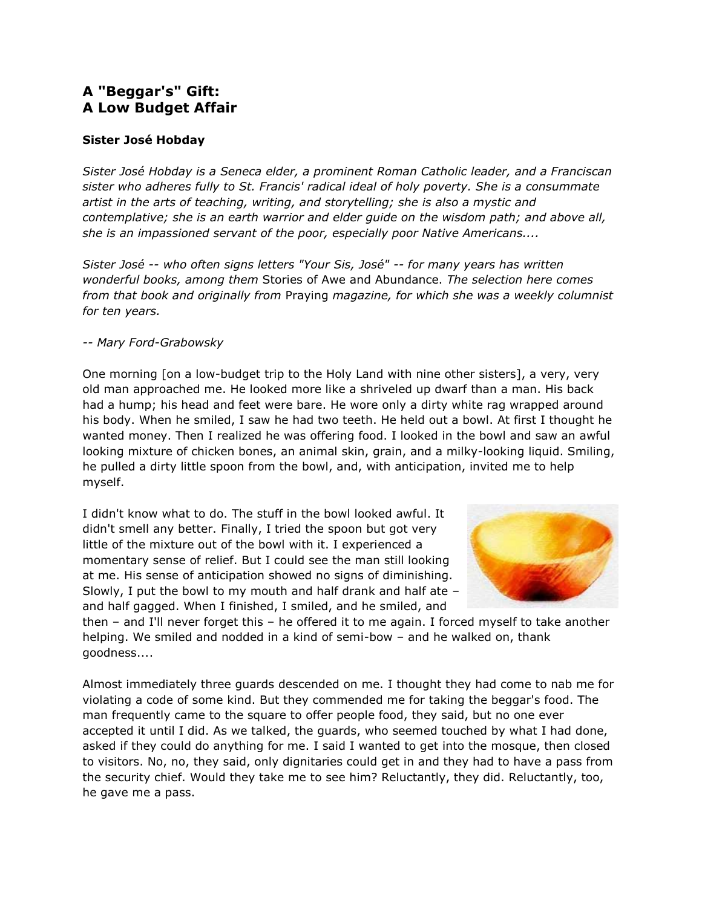## **A "Beggar's" Gift: A Low Budget Affair**

## **Sister José Hobday**

*Sister José Hobday is a Seneca elder, a prominent Roman Catholic leader, and a Franciscan sister who adheres fully to St. Francis' radical ideal of holy poverty. She is a consummate artist in the arts of teaching, writing, and storytelling; she is also a mystic and contemplative; she is an earth warrior and elder guide on the wisdom path; and above all, she is an impassioned servant of the poor, especially poor Native Americans....*

*Sister José -- who often signs letters "Your Sis, José" -- for many years has written wonderful books, among them* Stories of Awe and Abundance. *The selection here comes from that book and originally from* Praying *magazine, for which she was a weekly columnist for ten years.*

## *-- Mary Ford-Grabowsky*

One morning [on a low-budget trip to the Holy Land with nine other sisters], a very, very old man approached me. He looked more like a shriveled up dwarf than a man. His back had a hump; his head and feet were bare. He wore only a dirty white rag wrapped around his body. When he smiled, I saw he had two teeth. He held out a bowl. At first I thought he wanted money. Then I realized he was offering food. I looked in the bowl and saw an awful looking mixture of chicken bones, an animal skin, grain, and a milky-looking liquid. Smiling, he pulled a dirty little spoon from the bowl, and, with anticipation, invited me to help myself.

I didn't know what to do. The stuff in the bowl looked awful. It didn't smell any better. Finally, I tried the spoon but got very little of the mixture out of the bowl with it. I experienced a momentary sense of relief. But I could see the man still looking at me. His sense of anticipation showed no signs of diminishing. Slowly, I put the bowl to my mouth and half drank and half ate – and half gagged. When I finished, I smiled, and he smiled, and



then – and I'll never forget this – he offered it to me again. I forced myself to take another helping. We smiled and nodded in a kind of semi-bow – and he walked on, thank goodness....

Almost immediately three guards descended on me. I thought they had come to nab me for violating a code of some kind. But they commended me for taking the beggar's food. The man frequently came to the square to offer people food, they said, but no one ever accepted it until I did. As we talked, the guards, who seemed touched by what I had done, asked if they could do anything for me. I said I wanted to get into the mosque, then closed to visitors. No, no, they said, only dignitaries could get in and they had to have a pass from the security chief. Would they take me to see him? Reluctantly, they did. Reluctantly, too, he gave me a pass.